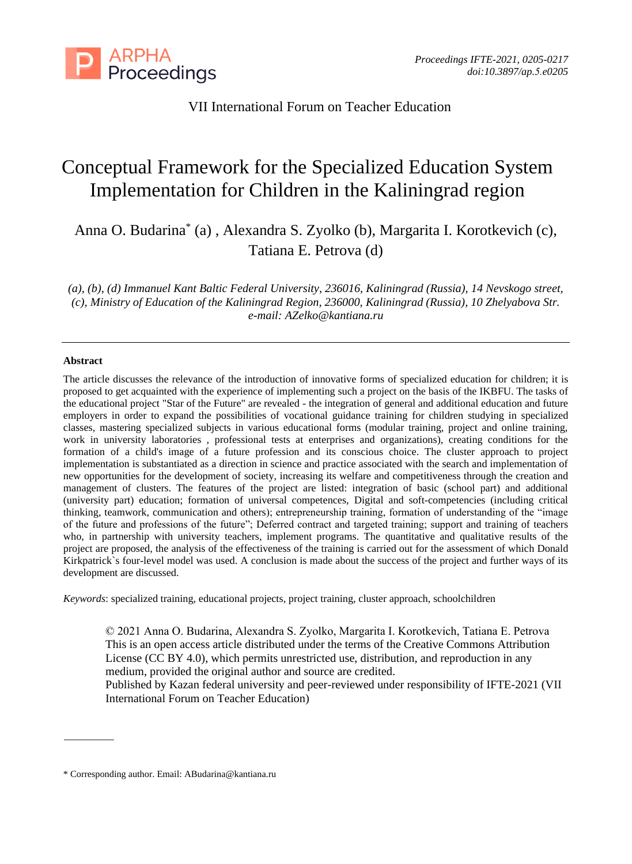

# VII International Forum on Teacher Education

# Conceptual Framework for the Specialized Education System Implementation for Children in the Kaliningrad region

Anna O. Budarina\* (a) , Alexandra S. Zyolko (b), Margarita I. Korotkevich (c), Tatiana E. Petrova (d)

*(a), (b), (d) Immanuel Kant Baltic Federal University, 236016, Kaliningrad (Russia), 14 Nevskogo street, (c), Ministry of Education of the Kaliningrad Region, 236000, Kaliningrad (Russia), 10 Zhelyabova Str. e-mail: [AZelko@kantiana.ru](mailto:AZelko@kantiana.ru)*

#### **Abstract**

The article discusses the relevance of the introduction of innovative forms of specialized education for children; it is proposed to get acquainted with the experience of implementing such a project on the basis of the IKBFU. The tasks of the educational project "Star of the Future" are revealed - the integration of general and additional education and future employers in order to expand the possibilities of vocational guidance training for children studying in specialized classes, mastering specialized subjects in various educational forms (modular training, project and online training, work in university laboratories , professional tests at enterprises and organizations), creating conditions for the formation of a child's image of a future profession and its conscious choice. The cluster approach to project implementation is substantiated as a direction in science and practice associated with the search and implementation of new opportunities for the development of society, increasing its welfare and competitiveness through the creation and management of clusters. The features of the project are listed: integration of basic (school part) and additional (university part) education; formation of universal competences, Digital and soft-competencies (including critical thinking, teamwork, communication and others); entrepreneurship training, formation of understanding of the "image of the future and professions of the future"; Deferred contract and targeted training; support and training of teachers who, in partnership with university teachers, implement programs. The quantitative and qualitative results of the project are proposed, the analysis of the effectiveness of the training is carried out for the assessment of which Donald Kirkpatrick`s four-level model was used. A conclusion is made about the success of the project and further ways of its development are discussed.

*Keywords*: specialized training, educational projects, project training, cluster approach, schoolchildren

© 2021 Anna O. Budarina, Alexandra S. Zyolko, Margarita I. Korotkevich, Tatiana E. Petrova This is an open access article distributed under the terms of the Creative Commons Attribution License (CC BY 4.0), which permits unrestricted use, distribution, and reproduction in any medium, provided the original author and source are credited.

Published by Kazan federal university and peer-reviewed under responsibility of IFTE-2021 (VII International Forum on Teacher Education)

<sup>\*</sup> Corresponding author. Email[: ABudarina@kantiana.ru](mailto:ABudarina@kantiana.ru)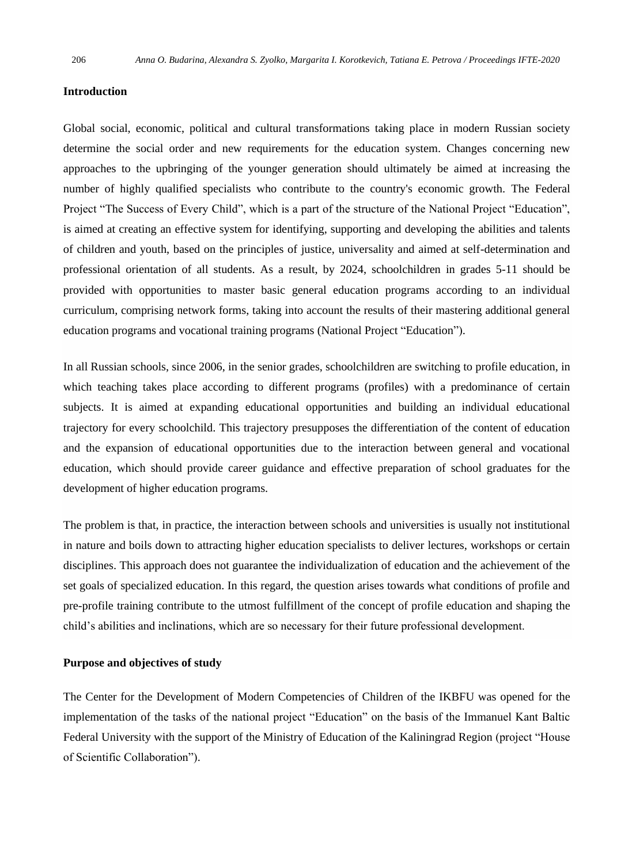#### **Introduction**

Global social, economic, political and cultural transformations taking place in modern Russian society determine the social order and new requirements for the education system. Changes concerning new approaches to the upbringing of the younger generation should ultimately be aimed at increasing the number of highly qualified specialists who contribute to the country's economic growth. The Federal Project "The Success of Every Child", which is a part of the structure of the National Project "Education", is aimed at creating an effective system for identifying, supporting and developing the abilities and talents of children and youth, based on the principles of justice, universality and aimed at self-determination and professional orientation of all students. As a result, by 2024, schoolchildren in grades 5-11 should be provided with opportunities to master basic general education programs according to an individual curriculum, comprising network forms, taking into account the results of their mastering additional general education programs and vocational training programs (National Project "Education").

In all Russian schools, since 2006, in the senior grades, schoolchildren are switching to profile education, in which teaching takes place according to different programs (profiles) with a predominance of certain subjects. It is aimed at expanding educational opportunities and building an individual educational trajectory for every schoolchild. This trajectory presupposes the differentiation of the content of education and the expansion of educational opportunities due to the interaction between general and vocational education, which should provide career guidance and effective preparation of school graduates for the development of higher education programs.

The problem is that, in practice, the interaction between schools and universities is usually not institutional in nature and boils down to attracting higher education specialists to deliver lectures, workshops or certain disciplines. This approach does not guarantee the individualization of education and the achievement of the set goals of specialized education. In this regard, the question arises towards what conditions of profile and pre-profile training contribute to the utmost fulfillment of the concept of profile education and shaping the child's abilities and inclinations, which are so necessary for their future professional development.

#### **Purpose and objectives of study**

The Center for the Development of Modern Competencies of Children of the IKBFU was opened for the implementation of the tasks of the national project "Education" on the basis of the Immanuel Kant Baltic Federal University with the support of the Ministry of Education of the Kaliningrad Region (project "House of Scientific Collaboration").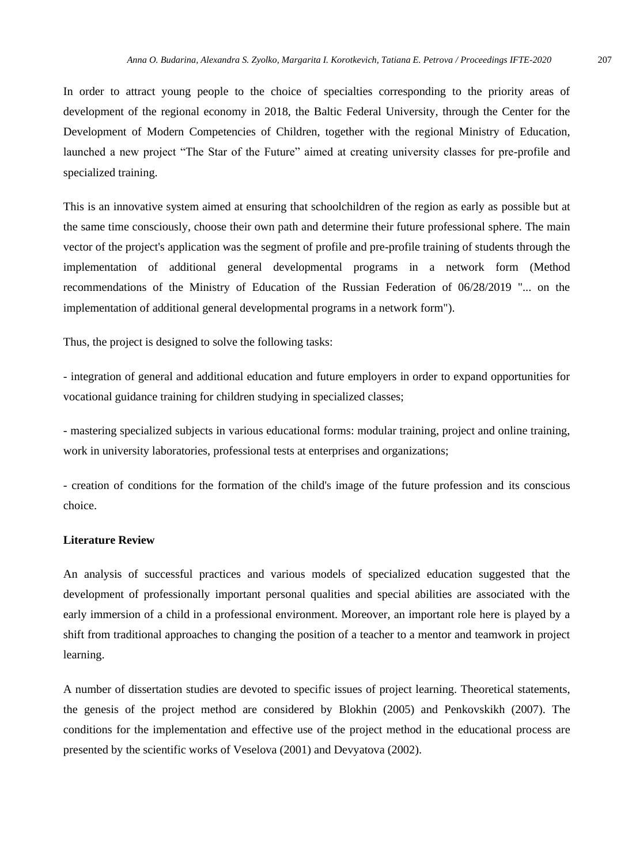In order to attract young people to the choice of specialties corresponding to the priority areas of development of the regional economy in 2018, the Baltic Federal University, through the Center for the Development of Modern Competencies of Children, together with the regional Ministry of Education, launched a new project "The Star of the Future" aimed at creating university classes for pre-profile and specialized training.

This is an innovative system aimed at ensuring that schoolchildren of the region as early as possible but at the same time consciously, choose their own path and determine their future professional sphere. The main vector of the project's application was the segment of profile and pre-profile training of students through the implementation of additional general developmental programs in a network form (Method recommendations of the Ministry of Education of the Russian Federation of 06/28/2019 "... on the implementation of additional general developmental programs in a network form").

Thus, the project is designed to solve the following tasks:

- integration of general and additional education and future employers in order to expand opportunities for vocational guidance training for children studying in specialized classes;

- mastering specialized subjects in various educational forms: modular training, project and online training, work in university laboratories, professional tests at enterprises and organizations;

- creation of conditions for the formation of the child's image of the future profession and its conscious choice.

### **Literature Review**

An analysis of successful practices and various models of specialized education suggested that the development of professionally important personal qualities and special abilities are associated with the early immersion of a child in a professional environment. Moreover, an important role here is played by a shift from traditional approaches to changing the position of a teacher to a mentor and teamwork in project learning.

A number of dissertation studies are devoted to specific issues of project learning. Theoretical statements, the genesis of the project method are considered by Blokhin (2005) and Penkovskikh (2007). The conditions for the implementation and effective use of the project method in the educational process are presented by the scientific works of Veselova (2001) and Devyatova (2002).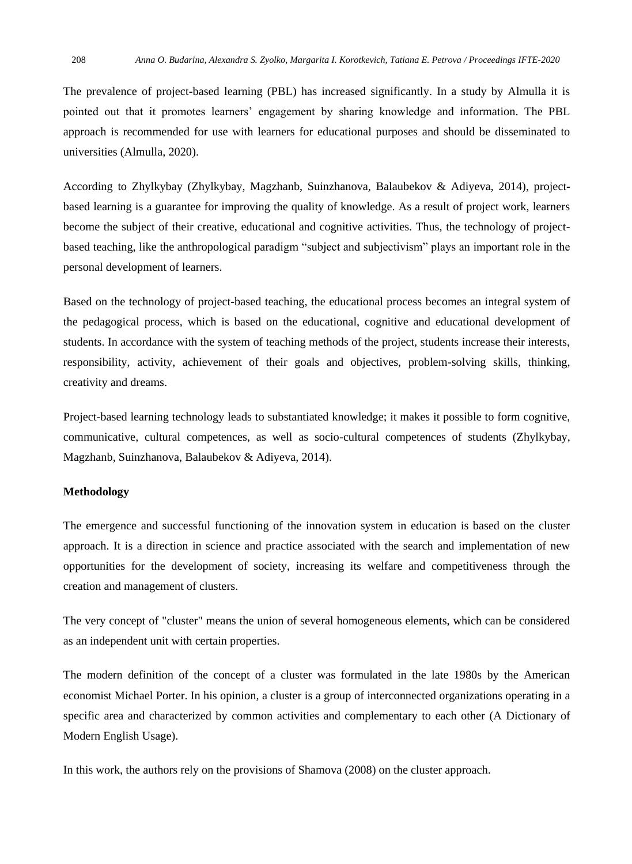The prevalence of project-based learning (PBL) has increased significantly. In a study by Almulla it is pointed out that it promotes learners' engagement by sharing knowledge and information. The PBL approach is recommended for use with learners for educational purposes and should be disseminated to universities (Almulla, 2020).

According to Zhylkybay (Zhylkybay, Magzhanb, Suinzhanova, Balaubekov & Adiyeva, 2014), projectbased learning is a guarantee for improving the quality of knowledge. As a result of project work, learners become the subject of their creative, educational and cognitive activities. Thus, the technology of projectbased teaching, like the anthropological paradigm "subject and subjectivism" plays an important role in the personal development of learners.

Based on the technology of project-based teaching, the educational process becomes an integral system of the pedagogical process, which is based on the educational, cognitive and educational development of students. In accordance with the system of teaching methods of the project, students increase their interests, responsibility, activity, achievement of their goals and objectives, problem-solving skills, thinking, creativity and dreams.

Project-based learning technology leads to substantiated knowledge; it makes it possible to form cognitive, communicative, cultural competences, as well as socio-cultural competences of students (Zhylkybay, Magzhanb, Suinzhanova, Balaubekov & Adiyeva, 2014).

#### **Methodology**

The emergence and successful functioning of the innovation system in education is based on the cluster approach. It is a direction in science and practice associated with the search and implementation of new opportunities for the development of society, increasing its welfare and competitiveness through the creation and management of clusters.

The very concept of "cluster" means the union of several homogeneous elements, which can be considered as an independent unit with certain properties.

The modern definition of the concept of a cluster was formulated in the late 1980s by the American economist Michael Porter. In his opinion, a cluster is a group of interconnected organizations operating in a specific area and characterized by common activities and complementary to each other (A Dictionary of Modern English Usage).

In this work, the authors rely on the provisions of Shamova (2008) on the cluster approach.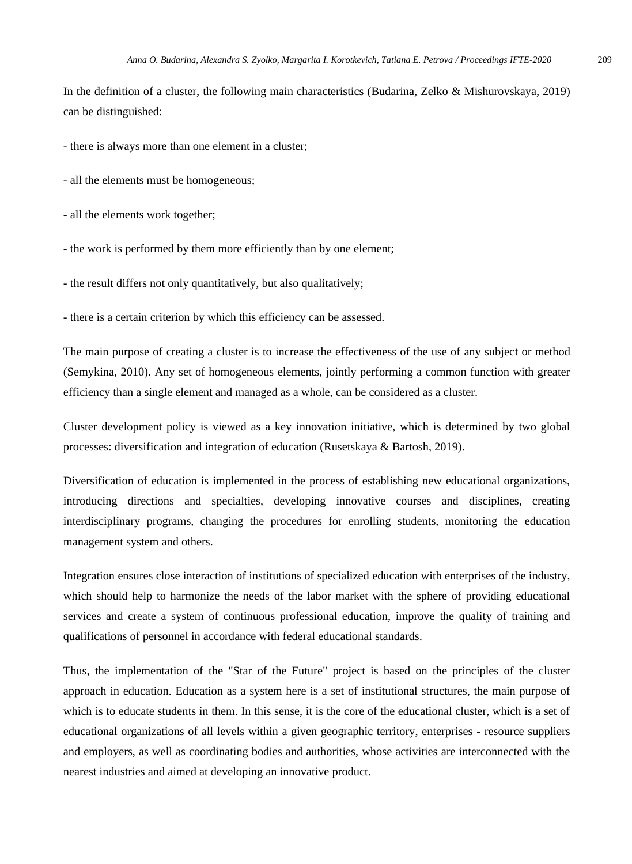In the definition of a cluster, the following main characteristics (Budarina, Zelko & Mishurovskaya, 2019) can be distinguished:

- there is always more than one element in a cluster;

- all the elements must be homogeneous;

- all the elements work together;

- the work is performed by them more efficiently than by one element;

- the result differs not only quantitatively, but also qualitatively;

- there is a certain criterion by which this efficiency can be assessed.

The main purpose of creating a cluster is to increase the effectiveness of the use of any subject or method (Semykina, 2010). Any set of homogeneous elements, jointly performing a common function with greater efficiency than a single element and managed as a whole, can be considered as a cluster.

Cluster development policy is viewed as a key innovation initiative, which is determined by two global processes: diversification and integration of education (Rusetskaya & Bartosh, 2019).

Diversification of education is implemented in the process of establishing new educational organizations, introducing directions and specialties, developing innovative courses and disciplines, creating interdisciplinary programs, changing the procedures for enrolling students, monitoring the education management system and others.

Integration ensures close interaction of institutions of specialized education with enterprises of the industry, which should help to harmonize the needs of the labor market with the sphere of providing educational services and create a system of continuous professional education, improve the quality of training and qualifications of personnel in accordance with federal educational standards.

Thus, the implementation of the "Star of the Future" project is based on the principles of the cluster approach in education. Education as a system here is a set of institutional structures, the main purpose of which is to educate students in them. In this sense, it is the core of the educational cluster, which is a set of educational organizations of all levels within a given geographic territory, enterprises - resource suppliers and employers, as well as coordinating bodies and authorities, whose activities are interconnected with the nearest industries and aimed at developing an innovative product.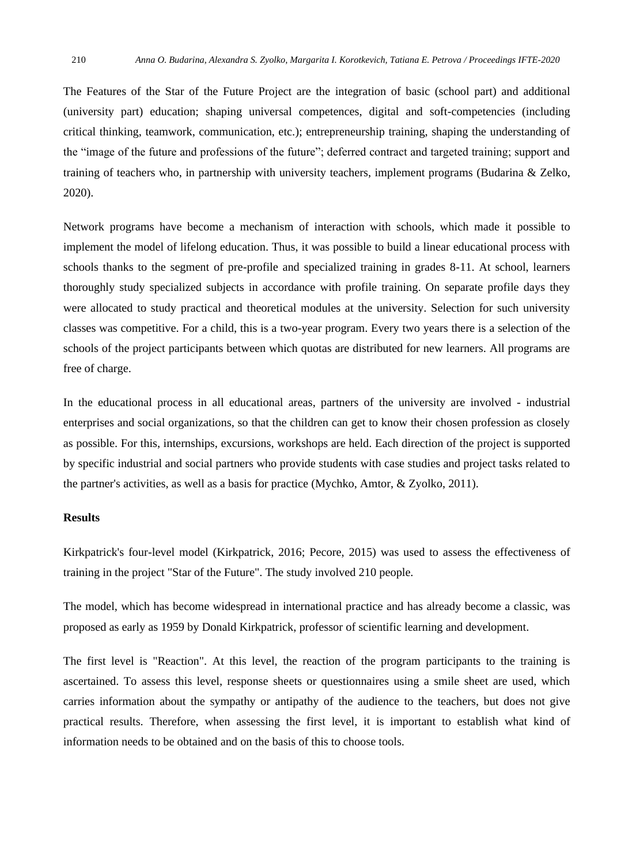The Features of the Star of the Future Project are the integration of basic (school part) and additional (university part) education; shaping universal competences, digital and soft-competencies (including critical thinking, teamwork, communication, etc.); entrepreneurship training, shaping the understanding of the "image of the future and professions of the future"; deferred contract and targeted training; support and training of teachers who, in partnership with university teachers, implement programs (Budarina & Zelko, 2020).

Network programs have become a mechanism of interaction with schools, which made it possible to implement the model of lifelong education. Thus, it was possible to build a linear educational process with schools thanks to the segment of pre-profile and specialized training in grades 8-11. At school, learners thoroughly study specialized subjects in accordance with profile training. On separate profile days they were allocated to study practical and theoretical modules at the university. Selection for such university classes was competitive. For a child, this is a two-year program. Every two years there is a selection of the schools of the project participants between which quotas are distributed for new learners. All programs are free of charge.

In the educational process in all educational areas, partners of the university are involved - industrial enterprises and social organizations, so that the children can get to know their chosen profession as closely as possible. For this, internships, excursions, workshops are held. Each direction of the project is supported by specific industrial and social partners who provide students with case studies and project tasks related to the partner's activities, as well as a basis for practice (Mychko, Amtor, & Zyolko, 2011).

#### **Results**

Kirkpatrick's four-level model (Kirkpatrick, 2016; Pecore, 2015) was used to assess the effectiveness of training in the project "Star of the Future". The study involved 210 people.

The model, which has become widespread in international practice and has already become a classic, was proposed as early as 1959 by Donald Kirkpatrick, professor of scientific learning and development.

The first level is "Reaction". At this level, the reaction of the program participants to the training is ascertained. To assess this level, response sheets or questionnaires using a smile sheet are used, which carries information about the sympathy or antipathy of the audience to the teachers, but does not give practical results. Therefore, when assessing the first level, it is important to establish what kind of information needs to be obtained and on the basis of this to choose tools.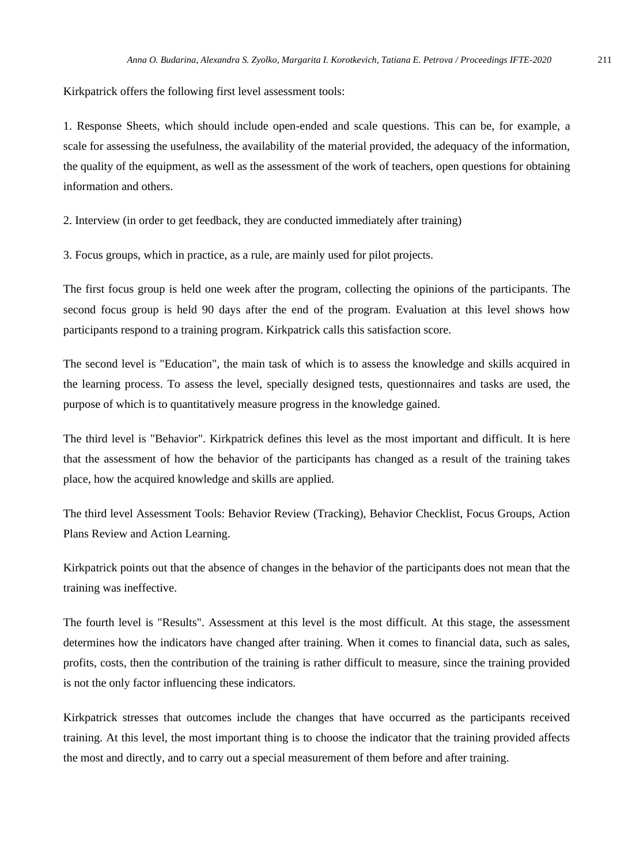Kirkpatrick offers the following first level assessment tools:

1. Response Sheets, which should include open-ended and scale questions. This can be, for example, a scale for assessing the usefulness, the availability of the material provided, the adequacy of the information, the quality of the equipment, as well as the assessment of the work of teachers, open questions for obtaining information and others.

2. Interview (in order to get feedback, they are conducted immediately after training)

3. Focus groups, which in practice, as a rule, are mainly used for pilot projects.

The first focus group is held one week after the program, collecting the opinions of the participants. The second focus group is held 90 days after the end of the program. Evaluation at this level shows how participants respond to a training program. Kirkpatrick calls this satisfaction score.

The second level is "Education", the main task of which is to assess the knowledge and skills acquired in the learning process. To assess the level, specially designed tests, questionnaires and tasks are used, the purpose of which is to quantitatively measure progress in the knowledge gained.

The third level is "Behavior". Kirkpatrick defines this level as the most important and difficult. It is here that the assessment of how the behavior of the participants has changed as a result of the training takes place, how the acquired knowledge and skills are applied.

The third level Assessment Tools: Behavior Review (Tracking), Behavior Checklist, Focus Groups, Action Plans Review and Action Learning.

Kirkpatrick points out that the absence of changes in the behavior of the participants does not mean that the training was ineffective.

The fourth level is "Results". Assessment at this level is the most difficult. At this stage, the assessment determines how the indicators have changed after training. When it comes to financial data, such as sales, profits, costs, then the contribution of the training is rather difficult to measure, since the training provided is not the only factor influencing these indicators.

Kirkpatrick stresses that outcomes include the changes that have occurred as the participants received training. At this level, the most important thing is to choose the indicator that the training provided affects the most and directly, and to carry out a special measurement of them before and after training.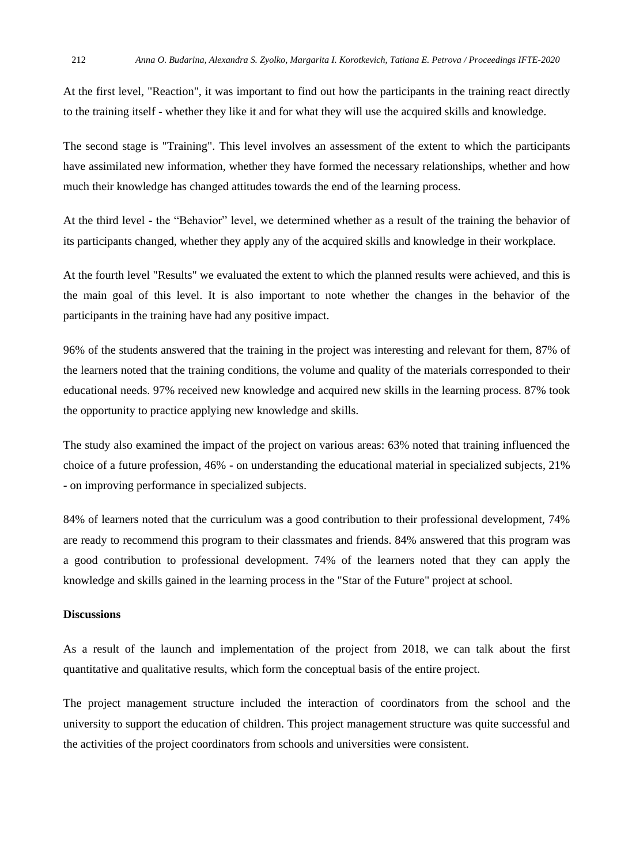At the first level, "Reaction", it was important to find out how the participants in the training react directly to the training itself - whether they like it and for what they will use the acquired skills and knowledge.

The second stage is "Training". This level involves an assessment of the extent to which the participants have assimilated new information, whether they have formed the necessary relationships, whether and how much their knowledge has changed attitudes towards the end of the learning process.

At the third level - the "Behavior" level, we determined whether as a result of the training the behavior of its participants changed, whether they apply any of the acquired skills and knowledge in their workplace.

At the fourth level "Results" we evaluated the extent to which the planned results were achieved, and this is the main goal of this level. It is also important to note whether the changes in the behavior of the participants in the training have had any positive impact.

96% of the students answered that the training in the project was interesting and relevant for them, 87% of the learners noted that the training conditions, the volume and quality of the materials corresponded to their educational needs. 97% received new knowledge and acquired new skills in the learning process. 87% took the opportunity to practice applying new knowledge and skills.

The study also examined the impact of the project on various areas: 63% noted that training influenced the choice of a future profession, 46% - on understanding the educational material in specialized subjects, 21% - on improving performance in specialized subjects.

84% of learners noted that the curriculum was a good contribution to their professional development, 74% are ready to recommend this program to their classmates and friends. 84% answered that this program was a good contribution to professional development. 74% of the learners noted that they can apply the knowledge and skills gained in the learning process in the "Star of the Future" project at school.

## **Discussions**

As a result of the launch and implementation of the project from 2018, we can talk about the first quantitative and qualitative results, which form the conceptual basis of the entire project.

The project management structure included the interaction of coordinators from the school and the university to support the education of children. This project management structure was quite successful and the activities of the project coordinators from schools and universities were consistent.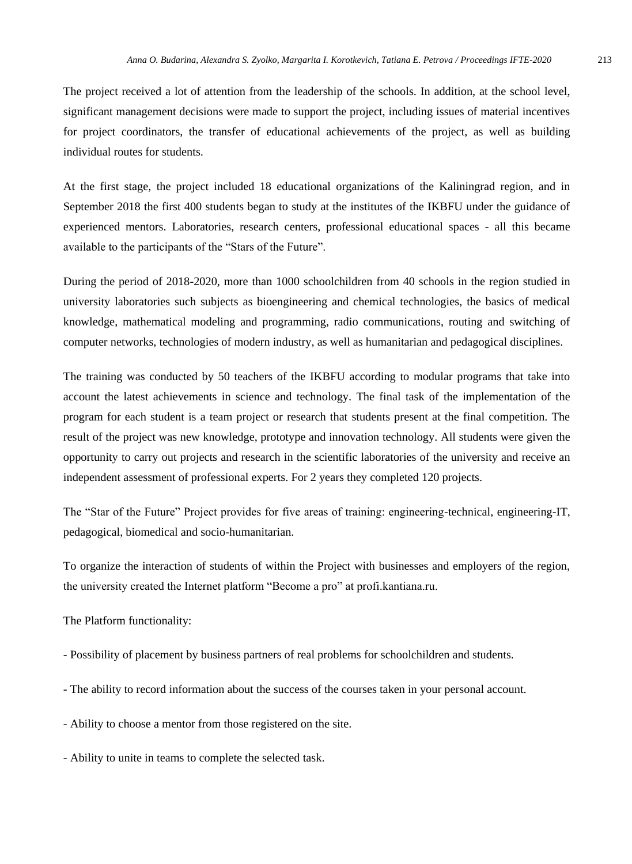The project received a lot of attention from the leadership of the schools. In addition, at the school level, significant management decisions were made to support the project, including issues of material incentives for project coordinators, the transfer of educational achievements of the project, as well as building individual routes for students.

At the first stage, the project included 18 educational organizations of the Kaliningrad region, and in September 2018 the first 400 students began to study at the institutes of the IKBFU under the guidance of experienced mentors. Laboratories, research centers, professional educational spaces - all this became available to the participants of the "Stars of the Future".

During the period of 2018-2020, more than 1000 schoolchildren from 40 schools in the region studied in university laboratories such subjects as bioengineering and chemical technologies, the basics of medical knowledge, mathematical modeling and programming, radio communications, routing and switching of computer networks, technologies of modern industry, as well as humanitarian and pedagogical disciplines.

The training was conducted by 50 teachers of the IKBFU according to modular programs that take into account the latest achievements in science and technology. The final task of the implementation of the program for each student is a team project or research that students present at the final competition. The result of the project was new knowledge, prototype and innovation technology. All students were given the opportunity to carry out projects and research in the scientific laboratories of the university and receive an independent assessment of professional experts. For 2 years they completed 120 projects.

The "Star of the Future" Project provides for five areas of training: engineering-technical, engineering-IT, pedagogical, biomedical and socio-humanitarian.

To organize the interaction of students of within the Project with businesses and employers of the region, the university created the Internet platform "Become a pro" at profi.kantiana.ru.

The Platform functionality:

- Possibility of placement by business partners of real problems for schoolchildren and students.
- The ability to record information about the success of the courses taken in your personal account.
- Ability to choose a mentor from those registered on the site.
- Ability to unite in teams to complete the selected task.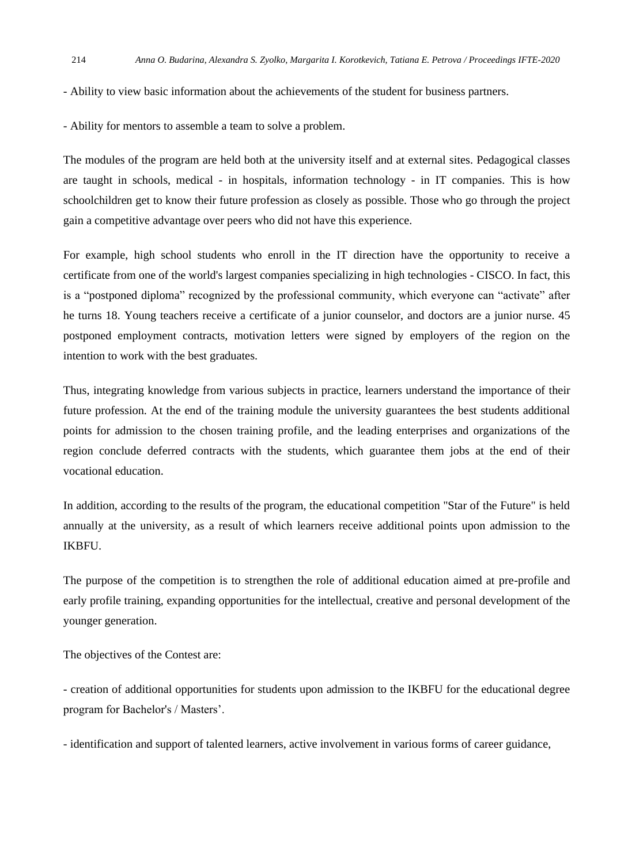- Ability to view basic information about the achievements of the student for business partners.
- Ability for mentors to assemble a team to solve a problem.

The modules of the program are held both at the university itself and at external sites. Pedagogical classes are taught in schools, medical - in hospitals, information technology - in IT companies. This is how schoolchildren get to know their future profession as closely as possible. Those who go through the project gain a competitive advantage over peers who did not have this experience.

For example, high school students who enroll in the IT direction have the opportunity to receive a certificate from one of the world's largest companies specializing in high technologies - CISCO. In fact, this is a "postponed diploma" recognized by the professional community, which everyone can "activate" after he turns 18. Young teachers receive a certificate of a junior counselor, and doctors are a junior nurse. 45 postponed employment contracts, motivation letters were signed by employers of the region on the intention to work with the best graduates.

Thus, integrating knowledge from various subjects in practice, learners understand the importance of their future profession. At the end of the training module the university guarantees the best students additional points for admission to the chosen training profile, and the leading enterprises and organizations of the region conclude deferred contracts with the students, which guarantee them jobs at the end of their vocational education.

In addition, according to the results of the program, the educational competition "Star of the Future" is held annually at the university, as a result of which learners receive additional points upon admission to the IKBFU.

The purpose of the competition is to strengthen the role of additional education aimed at pre-profile and early profile training, expanding opportunities for the intellectual, creative and personal development of the younger generation.

The objectives of the Contest are:

- creation of additional opportunities for students upon admission to the IKBFU for the educational degree program for Bachelor's / Masters'.

- identification and support of talented learners, active involvement in various forms of career guidance,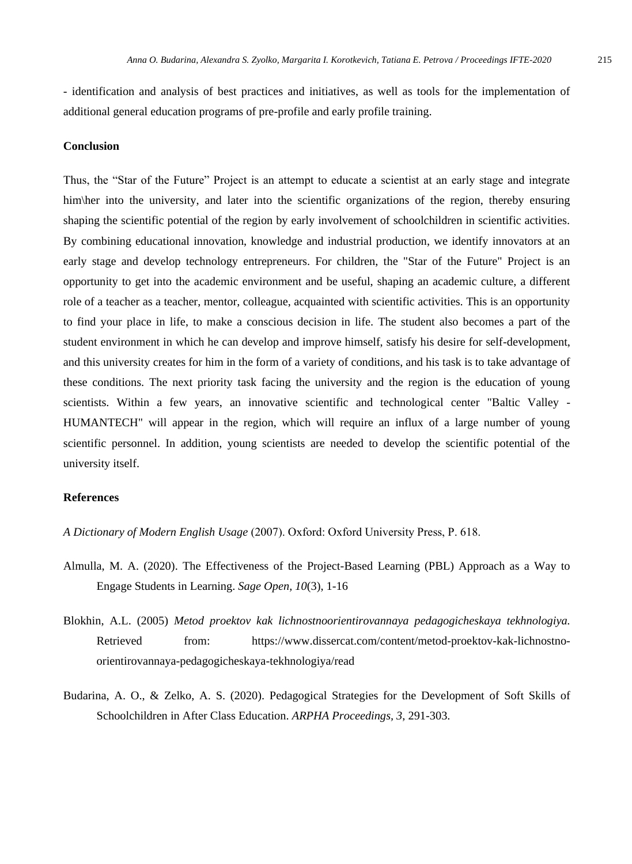- identification and analysis of best practices and initiatives, as well as tools for the implementation of additional general education programs of pre-profile and early profile training.

#### **Conclusion**

Thus, the "Star of the Future" Project is an attempt to educate a scientist at an early stage and integrate him\her into the university, and later into the scientific organizations of the region, thereby ensuring shaping the scientific potential of the region by early involvement of schoolchildren in scientific activities. By combining educational innovation, knowledge and industrial production, we identify innovators at an early stage and develop technology entrepreneurs. For children, the "Star of the Future" Project is an opportunity to get into the academic environment and be useful, shaping an academic culture, a different role of a teacher as a teacher, mentor, colleague, acquainted with scientific activities. This is an opportunity to find your place in life, to make a conscious decision in life. The student also becomes a part of the student environment in which he can develop and improve himself, satisfy his desire for self-development, and this university creates for him in the form of a variety of conditions, and his task is to take advantage of these conditions. The next priority task facing the university and the region is the education of young scientists. Within a few years, an innovative scientific and technological center "Baltic Valley - HUMANTECH" will appear in the region, which will require an influx of a large number of young scientific personnel. In addition, young scientists are needed to develop the scientific potential of the university itself.

#### **References**

- *A Dictionary of Modern English Usage* (2007). Oxford: Oxford University Press, Р. 618.
- Almulla, M. A. (2020). The Effectiveness of the Project-Based Learning (PBL) Approach as a Way to Engage Students in Learning. *Sage Open, 10*(3), 1-16
- Blokhin, A.L. (2005) *Metod proektov kak lichnostnoorientirovannaya pedagogicheskaya tekhnologiya.* Retrieved from: https://www.dissercat.com/content/metod-proektov-kak-lichnostnoorientirovannaya-pedagogicheskaya-tekhnologiya/read
- Budarina, A. O., & Zelko, A. S. (2020). Pedagogical Strategies for the Development of Soft Skills of Schoolchildren in After Class Education. *ARPHA Proceedings, 3*, 291-303.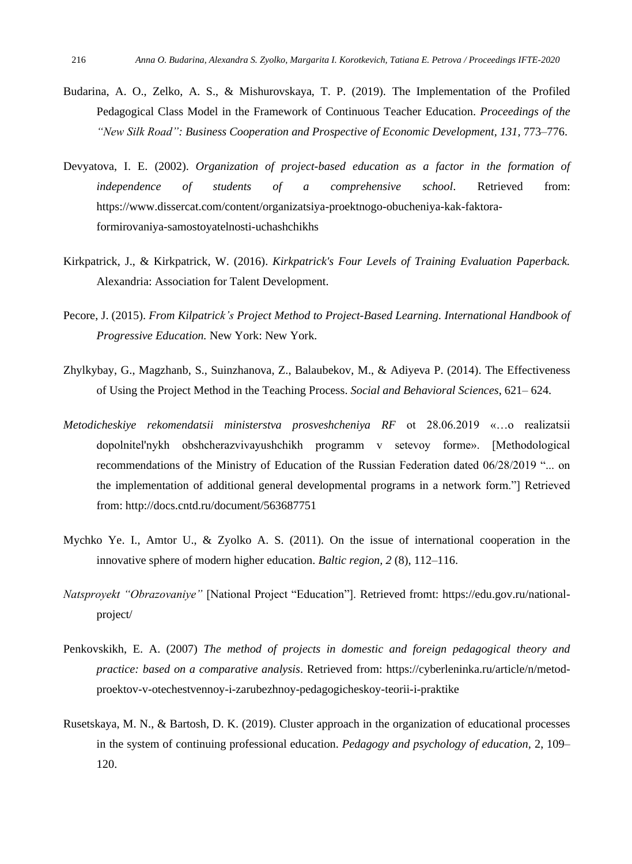- Budarina, A. O., Zelko, A. S., & Mishurovskaya, T. P. (2019). The Implementation of the Profiled Pedagogical Class Model in the Framework of Continuous Teacher Education. *Proceedings of the "New Silk Road": Business Cooperation and Prospective of Economic Development, 131,* 773–776.
- Devyatova, I. E. (2002). *Organization of project-based education as a factor in the formation of independence of students of a comprehensive school*. Retrieved from: [https://www.dissercat.com/content/organizatsiya-proektnogo-obucheniya-kak-faktora](https://www.dissercat.com/content/organizatsiya-proektnogo-obucheniya-kak-faktora-formirovaniya-samostoyatelnosti-uchashchikhs)[formirovaniya-samostoyatelnosti-uchashchikhs](https://www.dissercat.com/content/organizatsiya-proektnogo-obucheniya-kak-faktora-formirovaniya-samostoyatelnosti-uchashchikhs)
- Kirkpatrick, J., & Kirkpatrick, W. (2016). *Kirkpatrick's Four Levels of Training Evaluation Paperback.*  Alexandria: Association for Talent Development.
- Pecore, J. (2015). *From Kilpatrick's Project Method to Project-Based Learning. International Handbook of Progressive Education.* New York: New York.
- Zhylkybay, G., Magzhanb, S., Suinzhanova, Z., Balaubekov, M., & Adiyeva P. (2014). The Effectiveness of Using the Project Method in the Teaching Process. *Social and Behavioral Sciences*, 621– 624.
- *Metodicheskiye rekomendatsii ministerstva prosveshcheniya RF* ot 28.06.2019 «…o realizatsii dopolnitel'nykh obshcherazvivayushchikh programm v setevoy forme». [Methodological recommendations of the Ministry of Education of the Russian Federation dated 06/28/2019 "... on the implementation of additional general developmental programs in a network form."] Retrieved from: http://docs.cntd.ru/document/563687751
- Mychko Ye. I., Amtor U., & Zyolko A. S. (2011). On the issue of international cooperation in the innovative sphere of modern higher education. *Baltic region, 2* (8), 112–116.
- *Natsproyekt "Obrazovaniye"* [National Project "Education"]. Retrieved fromt: https://edu.gov.ru/nationalproject/
- Penkovskikh, E. A. (2007) *The method of projects in domestic and foreign pedagogical theory and practice: based on a comparative analysis*. Retrieved from: [https://cyberleninka.ru/article/n/metod](https://cyberleninka.ru/article/n/metod-proektov-v-otechestvennoy-i-zarubezhnoy-pedagogicheskoy-teorii-i-praktike)[proektov-v-otechestvennoy-i-zarubezhnoy-pedagogicheskoy-teorii-i-praktike](https://cyberleninka.ru/article/n/metod-proektov-v-otechestvennoy-i-zarubezhnoy-pedagogicheskoy-teorii-i-praktike)
- Rusetskaya, M. N., & Bartosh, D. K. (2019). Cluster approach in the organization of educational processes in the system of continuing professional education. *Pedagogy and psychology of education,* 2, 109– 120.